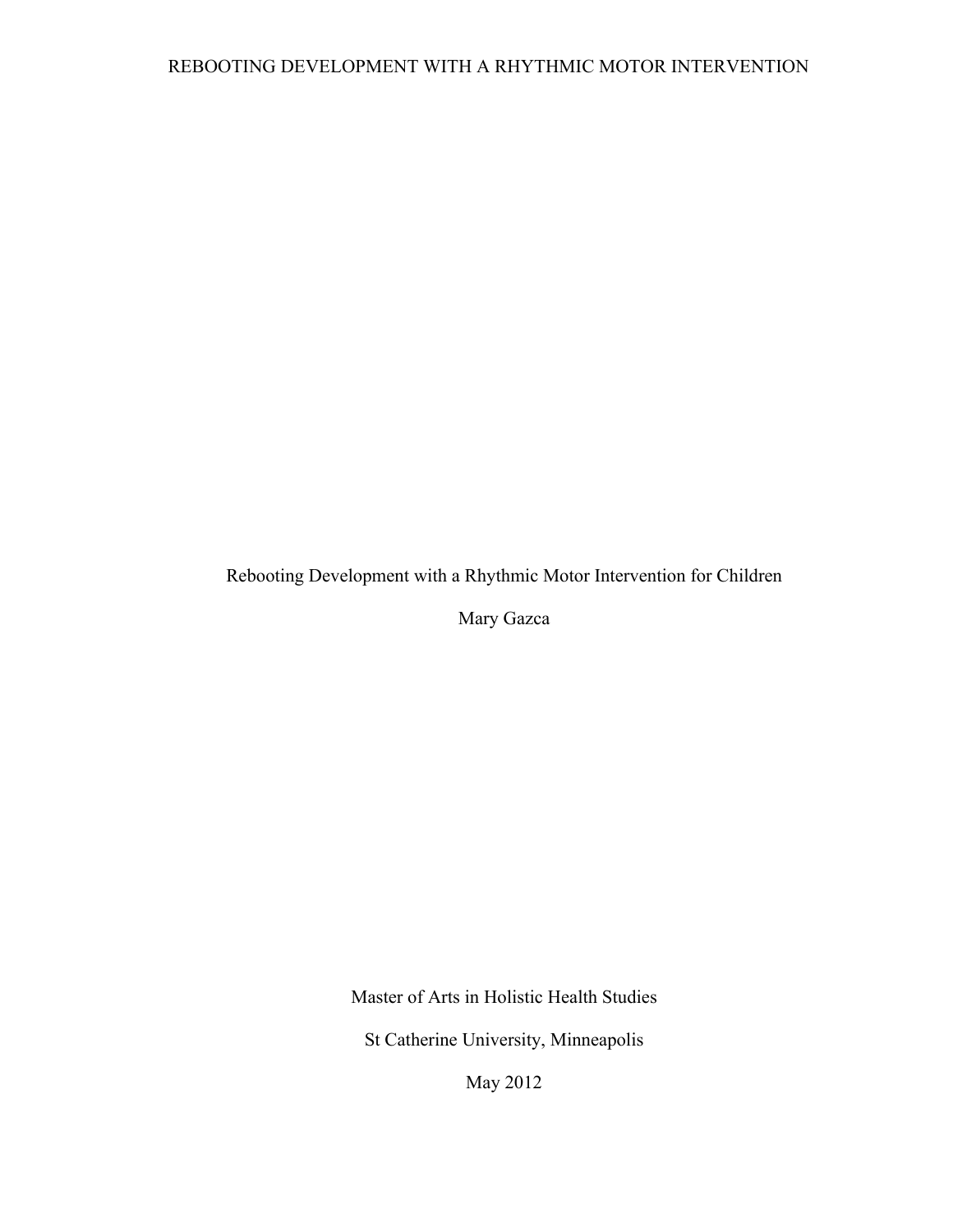Rebooting Development with a Rhythmic Motor Intervention for Children

Mary Gazca

Master of Arts in Holistic Health Studies

St Catherine University, Minneapolis

May 2012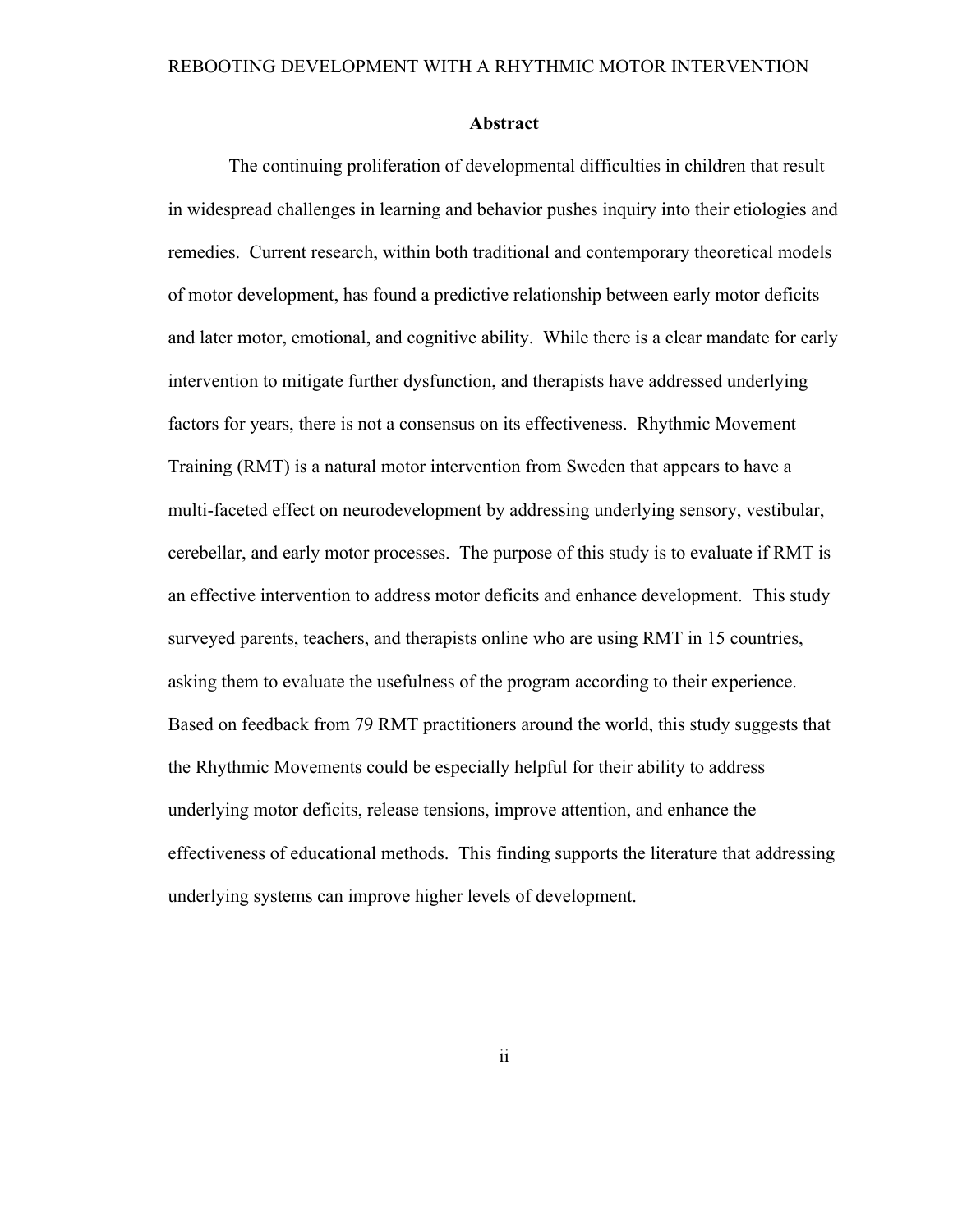#### **Abstract**

 The continuing proliferation of developmental difficulties in children that result in widespread challenges in learning and behavior pushes inquiry into their etiologies and remedies. Current research, within both traditional and contemporary theoretical models of motor development, has found a predictive relationship between early motor deficits and later motor, emotional, and cognitive ability. While there is a clear mandate for early intervention to mitigate further dysfunction, and therapists have addressed underlying factors for years, there is not a consensus on its effectiveness. Rhythmic Movement Training (RMT) is a natural motor intervention from Sweden that appears to have a multi-faceted effect on neurodevelopment by addressing underlying sensory, vestibular, cerebellar, and early motor processes. The purpose of this study is to evaluate if RMT is an effective intervention to address motor deficits and enhance development. This study surveyed parents, teachers, and therapists online who are using RMT in 15 countries, asking them to evaluate the usefulness of the program according to their experience. Based on feedback from 79 RMT practitioners around the world, this study suggests that the Rhythmic Movements could be especially helpful for their ability to address underlying motor deficits, release tensions, improve attention, and enhance the effectiveness of educational methods. This finding supports the literature that addressing underlying systems can improve higher levels of development.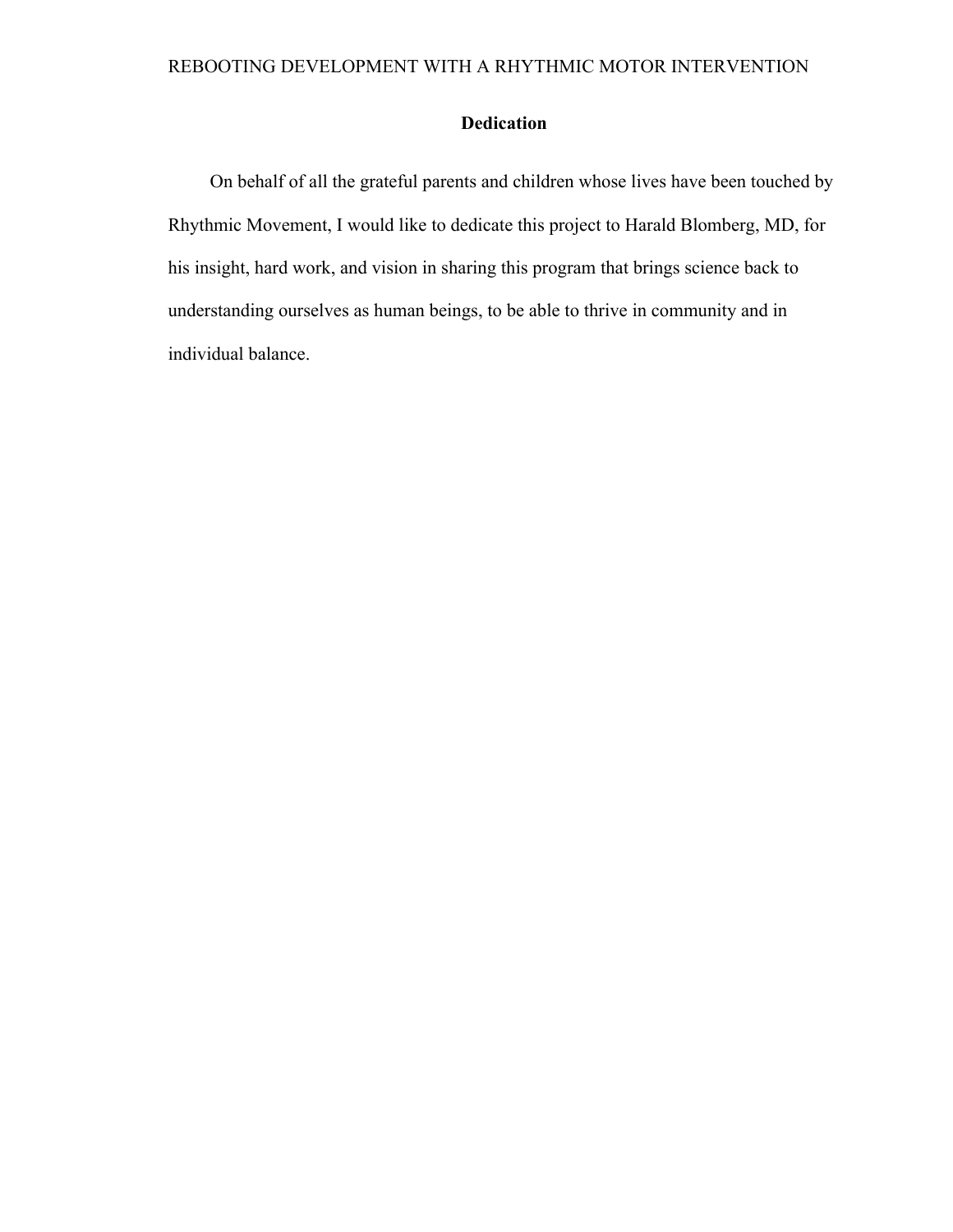### **Dedication**

On behalf of all the grateful parents and children whose lives have been touched by Rhythmic Movement, I would like to dedicate this project to Harald Blomberg, MD, for his insight, hard work, and vision in sharing this program that brings science back to understanding ourselves as human beings, to be able to thrive in community and in individual balance.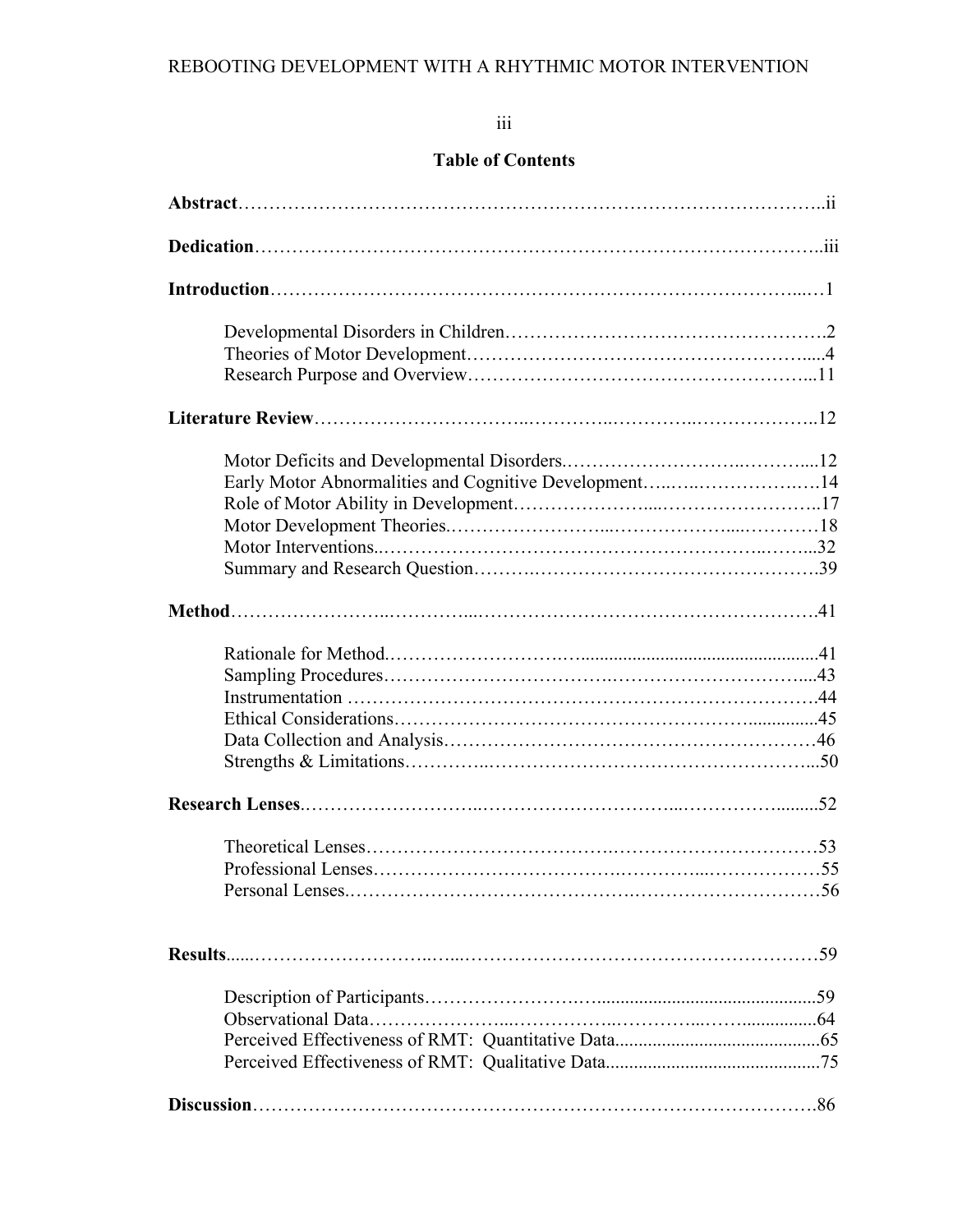# iii

# **Table of Contents**

| Early Motor Abnormalities and Cognitive Development14 |  |
|-------------------------------------------------------|--|
|                                                       |  |
|                                                       |  |
|                                                       |  |
|                                                       |  |
|                                                       |  |
|                                                       |  |
|                                                       |  |